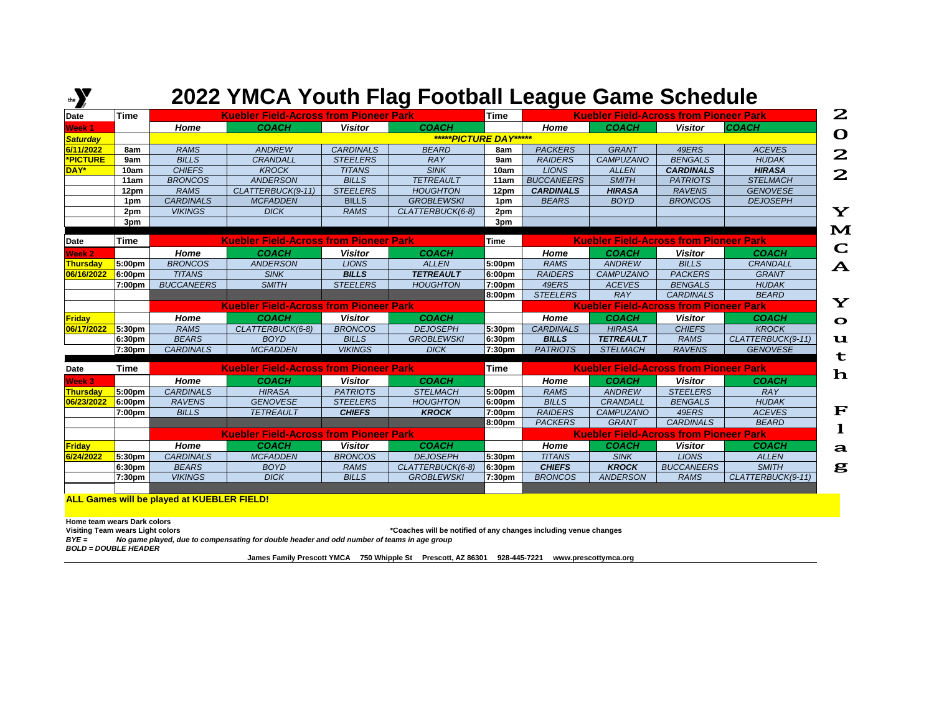## **EXECT:** 2022 YMCA Youth Flag Football League Game Schedule

| Date              | <b>Time</b>        | <b>Kuebler Field-Across from Pioneer Park</b> |                                               |                  |                       |                    | <b>Time</b><br><b>Kuebler Field-Across from Pioneer Park</b> |                  |                                               |                   |  |
|-------------------|--------------------|-----------------------------------------------|-----------------------------------------------|------------------|-----------------------|--------------------|--------------------------------------------------------------|------------------|-----------------------------------------------|-------------------|--|
| Week <sub>1</sub> |                    | Home                                          | <b>COACH</b>                                  | <b>Visitor</b>   | <b>COACH</b>          |                    | Home                                                         | <b>COACH</b>     | <b>Visitor</b>                                | <b>COACH</b>      |  |
| <b>Saturday</b>   |                    |                                               |                                               |                  | *****PICTURE DAY***** |                    |                                                              |                  |                                               |                   |  |
| 6/11/2022         | 8am                | <b>RAMS</b>                                   | <b>ANDREW</b>                                 | <b>CARDINALS</b> | <b>BEARD</b>          | 8am                | <b>PACKERS</b>                                               | <b>GRANT</b>     | 49ERS                                         | <b>ACEVES</b>     |  |
| <b>*PICTURE</b>   | 9am                | <b>BILLS</b>                                  | CRANDALL                                      | <b>STEELERS</b>  | <b>RAY</b>            | 9am                | <b>RAIDERS</b>                                               | <b>CAMPUZANO</b> | <b>BENGALS</b>                                | <b>HUDAK</b>      |  |
| DAY*              | 10am               | <b>CHIEFS</b>                                 | <b>KROCK</b>                                  | <b>TITANS</b>    | <b>SINK</b>           | 10am               | <b>LIONS</b>                                                 | <b>ALLEN</b>     | <b>CARDINALS</b>                              | <b>HIRASA</b>     |  |
|                   | 11am               | <b>BRONCOS</b>                                | <b>ANDERSON</b>                               | <b>BILLS</b>     | <b>TETREAULT</b>      | 11am               | <b>BUCCANEERS</b>                                            | <b>SMITH</b>     | <b>PATRIOTS</b>                               | <b>STELMACH</b>   |  |
|                   | 12pm               | <b>RAMS</b>                                   | CLATTERBUCK(9-11)                             | <b>STEELERS</b>  | <b>HOUGHTON</b>       | 12pm               | <b>CARDINALS</b>                                             | <b>HIRASA</b>    | <b>RAVENS</b>                                 | <b>GENOVESE</b>   |  |
|                   | 1pm                | <b>CARDINALS</b>                              | <b>MCFADDEN</b>                               | <b>BILLS</b>     | <b>GROBLEWSKI</b>     | 1pm                | <b>BEARS</b>                                                 | <b>BOYD</b>      | <b>BRONCOS</b>                                | <b>DEJOSEPH</b>   |  |
|                   | 2pm                | <b>VIKINGS</b>                                | <b>DICK</b>                                   | <b>RAMS</b>      | CLATTERBUCK(6-8)      | 2pm                |                                                              |                  |                                               |                   |  |
|                   | 3pm                |                                               |                                               |                  |                       | 3pm                |                                                              |                  |                                               |                   |  |
|                   |                    |                                               |                                               |                  |                       |                    |                                                              |                  |                                               |                   |  |
| <b>Date</b>       | Time               |                                               | <b>Kuebler Field-Across from Pioneer Park</b> |                  |                       | <b>Time</b>        |                                                              |                  | <b>Kuebler Field-Across from Pioneer Park</b> |                   |  |
| Week <sub>2</sub> |                    | Home                                          | <b>COACH</b>                                  | <b>Visitor</b>   | <b>COACH</b>          |                    | Home                                                         | <b>COACH</b>     | <b>Visitor</b>                                | <b>COACH</b>      |  |
| Thursday          | 5:00pm             | <b>BRONCOS</b>                                | <b>ANDERSON</b>                               | <b>LIONS</b>     | <b>ALLEN</b>          | 5:00pm             | <b>RAMS</b>                                                  | <b>ANDREW</b>    | <b>BILLS</b>                                  | <b>CRANDALL</b>   |  |
| 06/16/2022        | $ 6:00$ pm         | <b>TITANS</b>                                 | <b>SINK</b>                                   | <b>BILLS</b>     | <b>TETREAULT</b>      | 6:00pm             | <b>RAIDERS</b>                                               | <b>CAMPUZANO</b> | <b>PACKERS</b>                                | <b>GRANT</b>      |  |
|                   | 7:00pm             | <b>BUCCANEERS</b>                             | <b>SMITH</b>                                  | <b>STEELERS</b>  | <b>HOUGHTON</b>       | 7:00pm             | 49ERS                                                        | <b>ACEVES</b>    | <b>BENGALS</b>                                | <b>HUDAK</b>      |  |
|                   |                    |                                               |                                               |                  |                       | 8:00pm             | <b>STEELERS</b>                                              | <b>RAY</b>       | <b>CARDINALS</b>                              | <b>BEARD</b>      |  |
|                   |                    |                                               | <b>Kuebler Field-Across from Pioneer Park</b> |                  |                       |                    |                                                              |                  | <b>Kuebler Field-Across from Pioneer Park</b> |                   |  |
| Friday            |                    | Home                                          | <b>COACH</b>                                  | <b>Visitor</b>   | <b>COACH</b>          |                    | Home                                                         | <b>COACH</b>     | <b>Visitor</b>                                | <b>COACH</b>      |  |
| 06/17/2022        | 5:30 <sub>pm</sub> | <b>RAMS</b>                                   | CLATTERBUCK(6-8)                              | <b>BRONCOS</b>   | <b>DEJOSEPH</b>       | 5:30pm             | <b>CARDINALS</b>                                             | <b>HIRASA</b>    | <b>CHIEFS</b>                                 | <b>KROCK</b>      |  |
|                   | 6:30pm             | <b>BEARS</b>                                  | <b>BOYD</b>                                   | <b>BILLS</b>     | <b>GROBLEWSKI</b>     | 6:30 <sub>pm</sub> | <b>BILLS</b>                                                 | <b>TETREAULT</b> | <b>RAMS</b>                                   | CLATTERBUCK(9-11) |  |
|                   | 7:30pm             | <b>CARDINALS</b>                              | <b>MCFADDEN</b>                               | <b>VIKINGS</b>   | <b>DICK</b>           | 7:30pm             | <b>PATRIOTS</b>                                              | <b>STELMACH</b>  | <b>RAVENS</b>                                 | <b>GENOVESE</b>   |  |
|                   |                    |                                               |                                               |                  |                       |                    |                                                              |                  |                                               |                   |  |
| Date              | Time               |                                               | <b>Kuebler Field-Across from Pioneer Park</b> |                  |                       | <b>Time</b>        |                                                              |                  | <b>Kuebler Field-Across from Pioneer Park</b> |                   |  |
| Week 3            |                    | Home                                          | <b>COACH</b>                                  | <b>Visitor</b>   | <b>COACH</b>          |                    | Home                                                         | <b>COACH</b>     | <b>Visitor</b>                                | <b>COACH</b>      |  |
| Thursday          | 5:00pm             | <b>CARDINALS</b>                              | <b>HIRASA</b>                                 | <b>PATRIOTS</b>  | <b>STELMACH</b>       | 5:00pm             | <b>RAMS</b>                                                  | <b>ANDREW</b>    | <b>STEELERS</b>                               | <b>RAY</b>        |  |
| 06/23/2022        | 6:00 <sub>pm</sub> | <b>RAVENS</b>                                 | <b>GENOVESE</b>                               | <b>STEELERS</b>  | <b>HOUGHTON</b>       | 6:00pm             | <b>BILLS</b>                                                 | CRANDALL         | <b>BENGALS</b>                                | <b>HUDAK</b>      |  |
|                   | 7:00pm             | <b>BILLS</b>                                  | <b>TETREAULT</b>                              | <b>CHIEFS</b>    | <b>KROCK</b>          | 7:00pm             | <b>RAIDERS</b>                                               | <b>CAMPUZANO</b> | 49ERS                                         | <b>ACEVES</b>     |  |
|                   |                    |                                               |                                               |                  |                       | 8:00pm             | <b>PACKERS</b>                                               | <b>GRANT</b>     | <b>CARDINALS</b>                              | <b>BEARD</b>      |  |
|                   |                    | <b>Kuebler Field-Across from Pioneer Park</b> |                                               |                  |                       |                    | <b>Kuebler Field-Across from Pioneer Park</b>                |                  |                                               |                   |  |
| Friday            |                    | Home                                          | <b>COACH</b>                                  | <b>Visitor</b>   | <b>COACH</b>          |                    | Home                                                         | <b>COACH</b>     | <b>Visitor</b>                                | <b>COACH</b>      |  |
| 6/24/2022         | 5:30 <sub>pm</sub> | <b>CARDINALS</b>                              | <b>MCFADDEN</b>                               | <b>BRONCOS</b>   | <b>DEJOSEPH</b>       | 5:30pm             | <b>TITANS</b>                                                | <b>SINK</b>      | <b>LIONS</b>                                  | <b>ALLEN</b>      |  |
|                   | 6:30pm             | <b>BEARS</b>                                  | <b>BOYD</b>                                   | <b>RAMS</b>      | CLATTERBUCK(6-8)      | 6:30 <sub>pm</sub> | <b>CHIEFS</b>                                                | <b>KROCK</b>     | <b>BUCCANEERS</b>                             | <b>SMITH</b>      |  |
|                   | 7:30pm             | <b>VIKINGS</b>                                | <b>DICK</b>                                   | <b>BILLS</b>     | <b>GROBLEWSKI</b>     | 7:30pm             | <b>BRONCOS</b>                                               | <b>ANDERSON</b>  | <b>RAMS</b>                                   | CLATTERBUCK(9-11) |  |
|                   |                    |                                               |                                               |                  |                       |                    |                                                              |                  |                                               |                   |  |

**Home team wears Dark colors**

Visiting Team wears Light colors<br>BYE = No game played, due to compensating for double header and odd number of teams in age group<br>BYE = No game played, due to compensating for double header and odd number of teams in age g *BYE = No game played, due to compensating for double header and odd number of teams in age group BOLD = DOUBLE HEADER*

**James Family Prescott YMCA 750 Whipple St Prescott, AZ 86301 928-445-7221 www.prescottymca.org**